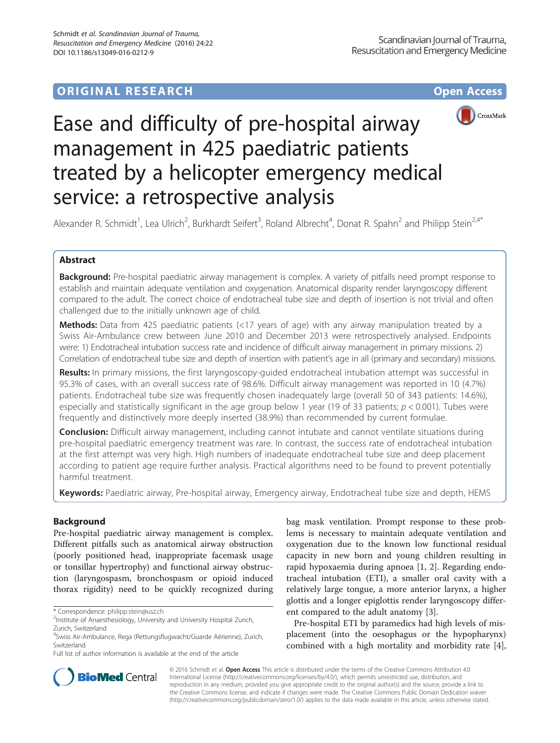## **ORIGINAL RESEARCH CONSERVERS AND ACCESS**



# Ease and difficulty of pre-hospital airway management in 425 paediatric patients treated by a helicopter emergency medical service: a retrospective analysis

Alexander R. Schmidt<sup>1</sup>, Lea Ulrich<sup>2</sup>, Burkhardt Seifert<sup>3</sup>, Roland Albrecht<sup>4</sup>, Donat R. Spahn<sup>2</sup> and Philipp Stein<sup>2,4\*</sup>

## Abstract

Background: Pre-hospital paediatric airway management is complex. A variety of pitfalls need prompt response to establish and maintain adequate ventilation and oxygenation. Anatomical disparity render laryngoscopy different compared to the adult. The correct choice of endotracheal tube size and depth of insertion is not trivial and often challenged due to the initially unknown age of child.

Methods: Data from 425 paediatric patients (<17 years of age) with any airway manipulation treated by a Swiss Air-Ambulance crew between June 2010 and December 2013 were retrospectively analysed. Endpoints were: 1) Endotracheal intubation success rate and incidence of difficult airway management in primary missions. 2) Correlation of endotracheal tube size and depth of insertion with patient's age in all (primary and secondary) missions.

Results: In primary missions, the first laryngoscopy-guided endotracheal intubation attempt was successful in 95.3% of cases, with an overall success rate of 98.6%. Difficult airway management was reported in 10 (4.7%) patients. Endotracheal tube size was frequently chosen inadequately large (overall 50 of 343 patients: 14.6%), especially and statistically significant in the age group below 1 year (19 of 33 patients;  $p < 0.001$ ). Tubes were frequently and distinctively more deeply inserted (38.9%) than recommended by current formulae.

**Conclusion:** Difficult airway management, including cannot intubate and cannot ventilate situations during pre-hospital paediatric emergency treatment was rare. In contrast, the success rate of endotracheal intubation at the first attempt was very high. High numbers of inadequate endotracheal tube size and deep placement according to patient age require further analysis. Practical algorithms need to be found to prevent potentially harmful treatment.

Keywords: Paediatric airway, Pre-hospital airway, Emergency airway, Endotracheal tube size and depth, HEMS

## Background

Pre-hospital paediatric airway management is complex. Different pitfalls such as anatomical airway obstruction (poorly positioned head, inappropriate facemask usage or tonsillar hypertrophy) and functional airway obstruction (laryngospasm, bronchospasm or opioid induced thorax rigidity) need to be quickly recognized during

bag mask ventilation. Prompt response to these problems is necessary to maintain adequate ventilation and oxygenation due to the known low functional residual capacity in new born and young children resulting in rapid hypoxaemia during apnoea [[1, 2\]](#page-6-0). Regarding endotracheal intubation (ETI), a smaller oral cavity with a relatively large tongue, a more anterior larynx, a higher glottis and a longer epiglottis render laryngoscopy different compared to the adult anatomy [\[3\]](#page-6-0).

Pre-hospital ETI by paramedics had high levels of misplacement (into the oesophagus or the hypopharynx) combined with a high mortality and morbidity rate [\[4](#page-6-0)],



© 2016 Schmidt et al. Open Access This article is distributed under the terms of the Creative Commons Attribution 4.0 International License [\(http://creativecommons.org/licenses/by/4.0/](http://creativecommons.org/licenses/by/4.0/)), which permits unrestricted use, distribution, and reproduction in any medium, provided you give appropriate credit to the original author(s) and the source, provide a link to the Creative Commons license, and indicate if changes were made. The Creative Commons Public Domain Dedication waiver [\(http://creativecommons.org/publicdomain/zero/1.0/](http://creativecommons.org/publicdomain/zero/1.0/)) applies to the data made available in this article, unless otherwise stated.

<sup>\*</sup> Correspondence: [philipp.stein@usz.ch](mailto:philipp.stein@usz.ch) <sup>2</sup>

<sup>&</sup>lt;sup>2</sup>Institute of Anaesthesiology, University and University Hospital Zurich, Zurich, Switzerland

<sup>&</sup>lt;sup>4</sup>Swiss Air-Ambulance, Rega (Rettungsflugwacht/Guarde Aérienne), Zurich, Switzerland

Full list of author information is available at the end of the article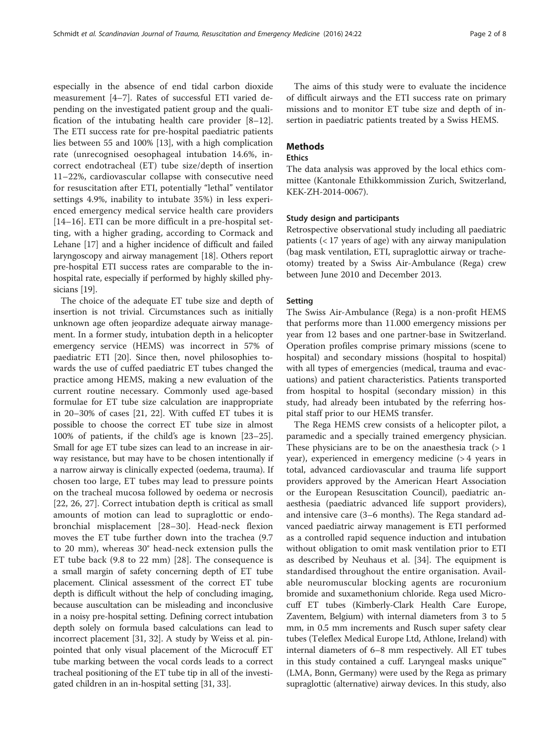especially in the absence of end tidal carbon dioxide measurement [[4](#page-6-0)–[7](#page-6-0)]. Rates of successful ETI varied depending on the investigated patient group and the qualification of the intubating health care provider [[8](#page-6-0)–[12](#page-6-0)]. The ETI success rate for pre-hospital paediatric patients lies between 55 and 100% [\[13](#page-6-0)], with a high complication rate (unrecognised oesophageal intubation 14.6%, incorrect endotracheal (ET) tube size/depth of insertion 11–22%, cardiovascular collapse with consecutive need for resuscitation after ETI, potentially "lethal" ventilator settings 4.9%, inability to intubate 35%) in less experienced emergency medical service health care providers [[14](#page-6-0)–[16\]](#page-6-0). ETI can be more difficult in a pre-hospital setting, with a higher grading, according to Cormack and Lehane [\[17\]](#page-6-0) and a higher incidence of difficult and failed laryngoscopy and airway management [\[18\]](#page-6-0). Others report pre-hospital ETI success rates are comparable to the inhospital rate, especially if performed by highly skilled physicians [[19](#page-6-0)].

The choice of the adequate ET tube size and depth of insertion is not trivial. Circumstances such as initially unknown age often jeopardize adequate airway management. In a former study, intubation depth in a helicopter emergency service (HEMS) was incorrect in 57% of paediatric ETI [[20](#page-6-0)]. Since then, novel philosophies towards the use of cuffed paediatric ET tubes changed the practice among HEMS, making a new evaluation of the current routine necessary. Commonly used age-based formulae for ET tube size calculation are inappropriate in 20–30% of cases [[21](#page-6-0), [22](#page-6-0)]. With cuffed ET tubes it is possible to choose the correct ET tube size in almost 100% of patients, if the child's age is known [[23](#page-6-0)–[25](#page-6-0)]. Small for age ET tube sizes can lead to an increase in airway resistance, but may have to be chosen intentionally if a narrow airway is clinically expected (oedema, trauma). If chosen too large, ET tubes may lead to pressure points on the tracheal mucosa followed by oedema or necrosis [[22, 26](#page-6-0), [27](#page-6-0)]. Correct intubation depth is critical as small amounts of motion can lead to supraglottic or endobronchial misplacement [\[28](#page--1-0)–[30](#page--1-0)]. Head-neck flexion moves the ET tube further down into the trachea (9.7 to 20 mm), whereas 30° head-neck extension pulls the ET tube back (9.8 to 22 mm) [\[28](#page--1-0)]. The consequence is a small margin of safety concerning depth of ET tube placement. Clinical assessment of the correct ET tube depth is difficult without the help of concluding imaging, because auscultation can be misleading and inconclusive in a noisy pre-hospital setting. Defining correct intubation depth solely on formula based calculations can lead to incorrect placement [[31](#page--1-0), [32](#page--1-0)]. A study by Weiss et al. pinpointed that only visual placement of the Microcuff ET tube marking between the vocal cords leads to a correct tracheal positioning of the ET tube tip in all of the investigated children in an in-hospital setting [[31](#page--1-0), [33\]](#page--1-0).

The aims of this study were to evaluate the incidence of difficult airways and the ETI success rate on primary missions and to monitor ET tube size and depth of insertion in paediatric patients treated by a Swiss HEMS.

## Methods

## Ethics

The data analysis was approved by the local ethics committee (Kantonale Ethikkommission Zurich, Switzerland, KEK-ZH-2014-0067).

#### Study design and participants

Retrospective observational study including all paediatric patients (< 17 years of age) with any airway manipulation (bag mask ventilation, ETI, supraglottic airway or tracheotomy) treated by a Swiss Air-Ambulance (Rega) crew between June 2010 and December 2013.

#### Setting

The Swiss Air-Ambulance (Rega) is a non-profit HEMS that performs more than 11.000 emergency missions per year from 12 bases and one partner-base in Switzerland. Operation profiles comprise primary missions (scene to hospital) and secondary missions (hospital to hospital) with all types of emergencies (medical, trauma and evacuations) and patient characteristics. Patients transported from hospital to hospital (secondary mission) in this study, had already been intubated by the referring hospital staff prior to our HEMS transfer.

The Rega HEMS crew consists of a helicopter pilot, a paramedic and a specially trained emergency physician. These physicians are to be on the anaesthesia track  $(>1)$ year), experienced in emergency medicine (> 4 years in total, advanced cardiovascular and trauma life support providers approved by the American Heart Association or the European Resuscitation Council), paediatric anaesthesia (paediatric advanced life support providers), and intensive care (3–6 months). The Rega standard advanced paediatric airway management is ETI performed as a controlled rapid sequence induction and intubation without obligation to omit mask ventilation prior to ETI as described by Neuhaus et al. [[34\]](#page--1-0). The equipment is standardised throughout the entire organisation. Available neuromuscular blocking agents are rocuronium bromide and suxamethonium chloride. Rega used Microcuff ET tubes (Kimberly-Clark Health Care Europe, Zaventem, Belgium) with internal diameters from 3 to 5 mm, in 0.5 mm increments and Rusch super safety clear tubes (Teleflex Medical Europe Ltd, Athlone, Ireland) with internal diameters of 6–8 mm respectively. All ET tubes in this study contained a cuff. Laryngeal masks unique™ (LMA, Bonn, Germany) were used by the Rega as primary supraglottic (alternative) airway devices. In this study, also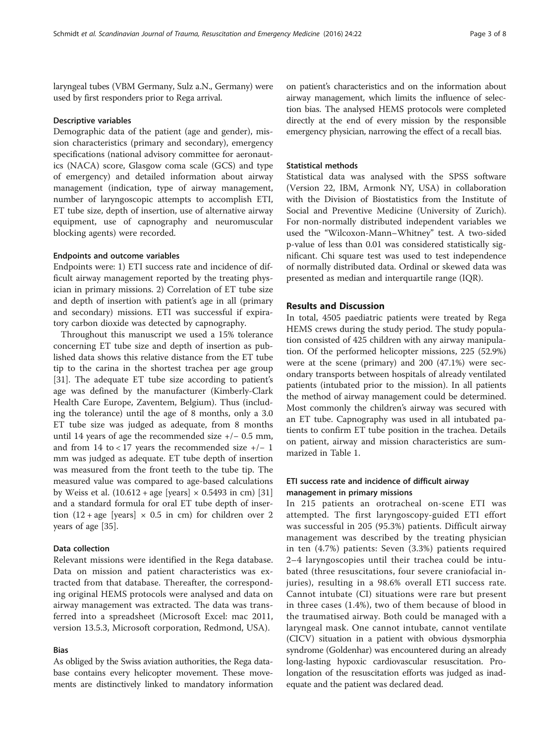laryngeal tubes (VBM Germany, Sulz a.N., Germany) were used by first responders prior to Rega arrival.

#### Descriptive variables

Demographic data of the patient (age and gender), mission characteristics (primary and secondary), emergency specifications (national advisory committee for aeronautics (NACA) score, Glasgow coma scale (GCS) and type of emergency) and detailed information about airway management (indication, type of airway management, number of laryngoscopic attempts to accomplish ETI, ET tube size, depth of insertion, use of alternative airway equipment, use of capnography and neuromuscular blocking agents) were recorded.

### Endpoints and outcome variables

Endpoints were: 1) ETI success rate and incidence of difficult airway management reported by the treating physician in primary missions. 2) Correlation of ET tube size and depth of insertion with patient's age in all (primary and secondary) missions. ETI was successful if expiratory carbon dioxide was detected by capnography.

Throughout this manuscript we used a 15% tolerance concerning ET tube size and depth of insertion as published data shows this relative distance from the ET tube tip to the carina in the shortest trachea per age group [[31\]](#page--1-0). The adequate ET tube size according to patient's age was defined by the manufacturer (Kimberly-Clark Health Care Europe, Zaventem, Belgium). Thus (including the tolerance) until the age of 8 months, only a 3.0 ET tube size was judged as adequate, from 8 months until 14 years of age the recommended size +/− 0.5 mm, and from 14 to < 17 years the recommended size  $+/- 1$ mm was judged as adequate. ET tube depth of insertion was measured from the front teeth to the tube tip. The measured value was compared to age-based calculations by Weiss et al.  $(10.612 + age$  [years]  $\times$  0.5493 in cm) [[31](#page--1-0)] and a standard formula for oral ET tube depth of insertion  $(12 + age$  [years]  $\times$  0.5 in cm) for children over 2 years of age [[35\]](#page--1-0).

#### Data collection

Relevant missions were identified in the Rega database. Data on mission and patient characteristics was extracted from that database. Thereafter, the corresponding original HEMS protocols were analysed and data on airway management was extracted. The data was transferred into a spreadsheet (Microsoft Excel: mac 2011, version 13.5.3, Microsoft corporation, Redmond, USA).

#### Bias

As obliged by the Swiss aviation authorities, the Rega database contains every helicopter movement. These movements are distinctively linked to mandatory information

on patient's characteristics and on the information about airway management, which limits the influence of selection bias. The analysed HEMS protocols were completed directly at the end of every mission by the responsible emergency physician, narrowing the effect of a recall bias.

#### Statistical methods

Statistical data was analysed with the SPSS software (Version 22, IBM, Armonk NY, USA) in collaboration with the Division of Biostatistics from the Institute of Social and Preventive Medicine (University of Zurich). For non-normally distributed independent variables we used the "Wilcoxon-Mann–Whitney" test. A two-sided p-value of less than 0.01 was considered statistically significant. Chi square test was used to test independence of normally distributed data. Ordinal or skewed data was presented as median and interquartile range (IQR).

## Results and Discussion

In total, 4505 paediatric patients were treated by Rega HEMS crews during the study period. The study population consisted of 425 children with any airway manipulation. Of the performed helicopter missions, 225 (52.9%) were at the scene (primary) and 200 (47.1%) were secondary transports between hospitals of already ventilated patients (intubated prior to the mission). In all patients the method of airway management could be determined. Most commonly the children's airway was secured with an ET tube. Capnography was used in all intubated patients to confirm ET tube position in the trachea. Details on patient, airway and mission characteristics are summarized in Table [1](#page-3-0).

## ETI success rate and incidence of difficult airway management in primary missions

In 215 patients an orotracheal on-scene ETI was attempted. The first laryngoscopy-guided ETI effort was successful in 205 (95.3%) patients. Difficult airway management was described by the treating physician in ten (4.7%) patients: Seven (3.3%) patients required 2–4 laryngoscopies until their trachea could be intubated (three resuscitations, four severe craniofacial injuries), resulting in a 98.6% overall ETI success rate. Cannot intubate (CI) situations were rare but present in three cases (1.4%), two of them because of blood in the traumatised airway. Both could be managed with a laryngeal mask. One cannot intubate, cannot ventilate (CICV) situation in a patient with obvious dysmorphia syndrome (Goldenhar) was encountered during an already long-lasting hypoxic cardiovascular resuscitation. Prolongation of the resuscitation efforts was judged as inadequate and the patient was declared dead.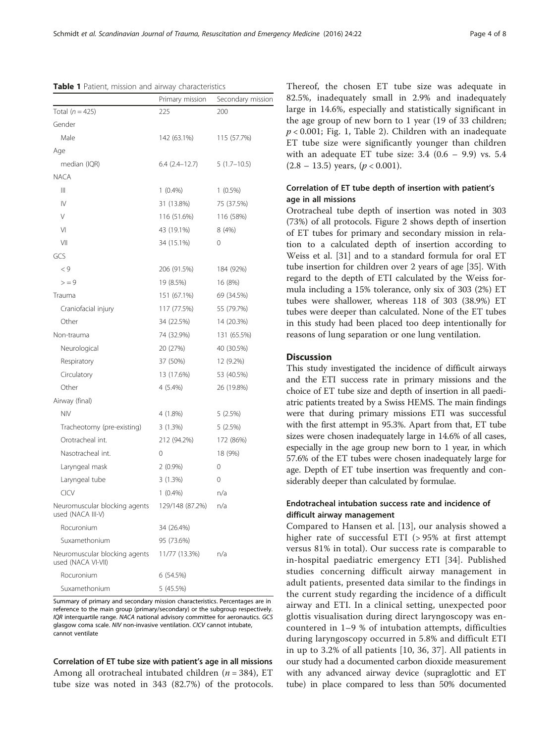<span id="page-3-0"></span>Schmidt et al. Scandinavian Journal of Trauma, Resuscitation and Emergency Medicine (2016) 24:22 Page 4 of 8

|  |  |  |  |  |  | <b>Table 1</b> Patient, mission and airway characteristics |
|--|--|--|--|--|--|------------------------------------------------------------|
|--|--|--|--|--|--|------------------------------------------------------------|

|                                                     | Primary mission | Secondary mission |  |
|-----------------------------------------------------|-----------------|-------------------|--|
| Total $(n = 425)$                                   | 225             | 200               |  |
| Gender                                              |                 |                   |  |
| Male                                                | 142 (63.1%)     | 115 (57.7%)       |  |
| Age                                                 |                 |                   |  |
| median (IQR)                                        | $6.4(2.4-12.7)$ | $5(1.7-10.5)$     |  |
| NACA                                                |                 |                   |  |
| Ш                                                   | $1(0.4\%)$      | $1(0.5\%)$        |  |
| $\mathsf{N}$                                        | 31 (13.8%)      | 75 (37.5%)        |  |
| V                                                   | 116 (51.6%)     | 116 (58%)         |  |
| VI                                                  | 43 (19.1%)      | 8 (4%)            |  |
| VII                                                 | 34 (15.1%)      | 0                 |  |
| GCS                                                 |                 |                   |  |
| < 9                                                 | 206 (91.5%)     | 184 (92%)         |  |
| > 9                                                 | 19 (8.5%)       | 16 (8%)           |  |
| Trauma                                              | 151 (67.1%)     | 69 (34.5%)        |  |
| Craniofacial injury                                 | 117 (77.5%)     | 55 (79.7%)        |  |
| Other                                               | 34 (22.5%)      | 14 (20.3%)        |  |
| Non-trauma                                          | 74 (32.9%)      | 131 (65.5%)       |  |
| Neurological                                        | 20 (27%)        | 40 (30.5%)        |  |
| Respiratory                                         | 37 (50%)        | 12 (9.2%)         |  |
| Circulatory                                         | 13 (17.6%)      | 53 (40.5%)        |  |
| Other                                               | 4 (5.4%)        | 26 (19.8%)        |  |
| Airway (final)                                      |                 |                   |  |
| <b>NIV</b>                                          | 4 (1.8%)        | 5(2.5%)           |  |
| Tracheotomy (pre-existing)                          | 3 (1.3%)        | 5(2.5%)           |  |
| Orotracheal int.                                    | 212 (94.2%)     | 172 (86%)         |  |
| Nasotracheal int.                                   | 0               | 18 (9%)           |  |
| Laryngeal mask                                      | $2(0.9\%)$      | 0                 |  |
| Laryngeal tube                                      | 3(1.3%)         | 0                 |  |
| <b>CICV</b>                                         | $1(0.4\%)$      | n/a               |  |
| Neuromuscular blocking agents<br>used (NACA III-V)  | 129/148 (87.2%) | n/a               |  |
| Rocuronium                                          | 34 (26.4%)      |                   |  |
| Suxamethonium                                       | 95 (73.6%)      |                   |  |
| Neuromuscular blocking agents<br>used (NACA VI-VII) | 11/77 (13.3%)   | n/a               |  |
| Rocuronium                                          | 6 (54.5%)       |                   |  |
| Suxamethonium                                       | 5 (45.5%)       |                   |  |

Summary of primary and secondary mission characteristics. Percentages are in reference to the main group (primary/secondary) or the subgroup respectively. IQR interquartile range. NACA national advisory committee for aeronautics. GCS glasgow coma scale. NIV non-invasive ventilation. CICV cannot intubate, cannot ventilate

Correlation of ET tube size with patient's age in all missions Among all orotracheal intubated children ( $n = 384$ ), ET tube size was noted in 343 (82.7%) of the protocols. Thereof, the chosen ET tube size was adequate in 82.5%, inadequately small in 2.9% and inadequately large in 14.6%, especially and statistically significant in the age group of new born to 1 year (19 of 33 children;  $p < 0.001$ ; Fig. [1](#page-4-0), Table [2\)](#page-4-0). Children with an inadequate ET tube size were significantly younger than children with an adequate ET tube size:  $3.4$  (0.6 – 9.9) vs.  $5.4$  $(2.8 - 13.5)$  years,  $(p < 0.001)$ .

## Correlation of ET tube depth of insertion with patient's age in all missions

Orotracheal tube depth of insertion was noted in 303 (73%) of all protocols. Figure [2](#page-5-0) shows depth of insertion of ET tubes for primary and secondary mission in relation to a calculated depth of insertion according to Weiss et al. [\[31](#page--1-0)] and to a standard formula for oral ET tube insertion for children over 2 years of age [\[35](#page--1-0)]. With regard to the depth of ETI calculated by the Weiss formula including a 15% tolerance, only six of 303 (2%) ET tubes were shallower, whereas 118 of 303 (38.9%) ET tubes were deeper than calculated. None of the ET tubes in this study had been placed too deep intentionally for reasons of lung separation or one lung ventilation.

## **Discussion**

This study investigated the incidence of difficult airways and the ETI success rate in primary missions and the choice of ET tube size and depth of insertion in all paediatric patients treated by a Swiss HEMS. The main findings were that during primary missions ETI was successful with the first attempt in 95.3%. Apart from that, ET tube sizes were chosen inadequately large in 14.6% of all cases, especially in the age group new born to 1 year, in which 57.6% of the ET tubes were chosen inadequately large for age. Depth of ET tube insertion was frequently and considerably deeper than calculated by formulae.

## Endotracheal intubation success rate and incidence of difficult airway management

Compared to Hansen et al. [[13\]](#page-6-0), our analysis showed a higher rate of successful ETI (> 95% at first attempt versus 81% in total). Our success rate is comparable to in-hospital paediatric emergency ETI [[34\]](#page--1-0). Published studies concerning difficult airway management in adult patients, presented data similar to the findings in the current study regarding the incidence of a difficult airway and ETI. In a clinical setting, unexpected poor glottis visualisation during direct laryngoscopy was encountered in 1–9 % of intubation attempts, difficulties during laryngoscopy occurred in 5.8% and difficult ETI in up to 3.2% of all patients [\[10,](#page-6-0) [36](#page--1-0), [37\]](#page--1-0). All patients in our study had a documented carbon dioxide measurement with any advanced airway device (supraglottic and ET tube) in place compared to less than 50% documented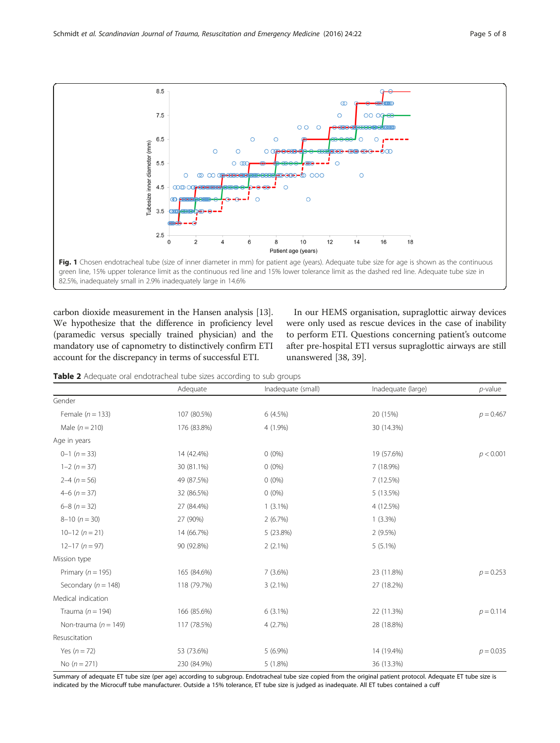<span id="page-4-0"></span>

carbon dioxide measurement in the Hansen analysis [[13](#page-6-0)]. We hypothesize that the difference in proficiency level (paramedic versus specially trained physician) and the mandatory use of capnometry to distinctively confirm ETI account for the discrepancy in terms of successful ETI.

In our HEMS organisation, supraglottic airway devices were only used as rescue devices in the case of inability to perform ETI. Questions concerning patient's outcome after pre-hospital ETI versus supraglottic airways are still unanswered [[38, 39](#page--1-0)].

Table 2 Adequate oral endotracheal tube sizes according to sub groups

|                          | Adequate    | Inadequate (small) | Inadequate (large) | $p$ -value  |
|--------------------------|-------------|--------------------|--------------------|-------------|
| Gender                   |             |                    |                    |             |
| Female $(n = 133)$       | 107 (80.5%) | 6(4.5%)            | 20 (15%)           | $p = 0.467$ |
| Male $(n = 210)$         | 176 (83.8%) | 4 (1.9%)           | 30 (14.3%)         |             |
| Age in years             |             |                    |                    |             |
| $0-1$ $(n = 33)$         | 14 (42.4%)  | $0(0\%)$           | 19 (57.6%)         | p < 0.001   |
| $1-2(n=37)$              | 30 (81.1%)  | $0(0\%)$           | 7 (18.9%)          |             |
| $2-4(n=56)$              | 49 (87.5%)  | $0(0\%)$           | 7 (12.5%)          |             |
| $4-6(n=37)$              | 32 (86.5%)  | $0(0\%)$           | 5 (13.5%)          |             |
| $6 - 8$ $(n = 32)$       | 27 (84.4%)  | $1(3.1\%)$         | 4 (12.5%)          |             |
| $8-10(n=30)$             | 27 (90%)    | 2(6.7%)            | $1(3.3\%)$         |             |
| $10 - 12(n = 21)$        | 14 (66.7%)  | 5 (23.8%)          | 2(9.5%)            |             |
| $12 - 17 (n = 97)$       | 90 (92.8%)  | $2(2.1\%)$         | $5(5.1\%)$         |             |
| Mission type             |             |                    |                    |             |
| Primary ( $n = 195$ )    | 165 (84.6%) | 7(3.6%)            | 23 (11.8%)         | $p = 0.253$ |
| Secondary ( $n = 148$ )  | 118 (79.7%) | $3(2.1\%)$         | 27 (18.2%)         |             |
| Medical indication       |             |                    |                    |             |
| Trauma ( $n = 194$ )     | 166 (85.6%) | $6(3.1\%)$         | 22 (11.3%)         | $p = 0.114$ |
| Non-trauma ( $n = 149$ ) | 117 (78.5%) | 4(2.7%)            | 28 (18.8%)         |             |
| Resuscitation            |             |                    |                    |             |
| Yes $(n=72)$             | 53 (73.6%)  | $5(6.9\%)$         | 14 (19.4%)         | $p = 0.035$ |
| No $(n = 271)$           | 230 (84.9%) | $5(1.8\%)$         | 36 (13.3%)         |             |

Summary of adequate ET tube size (per age) according to subgroup. Endotracheal tube size copied from the original patient protocol. Adequate ET tube size is indicated by the Microcuff tube manufacturer. Outside a 15% tolerance, ET tube size is judged as inadequate. All ET tubes contained a cuff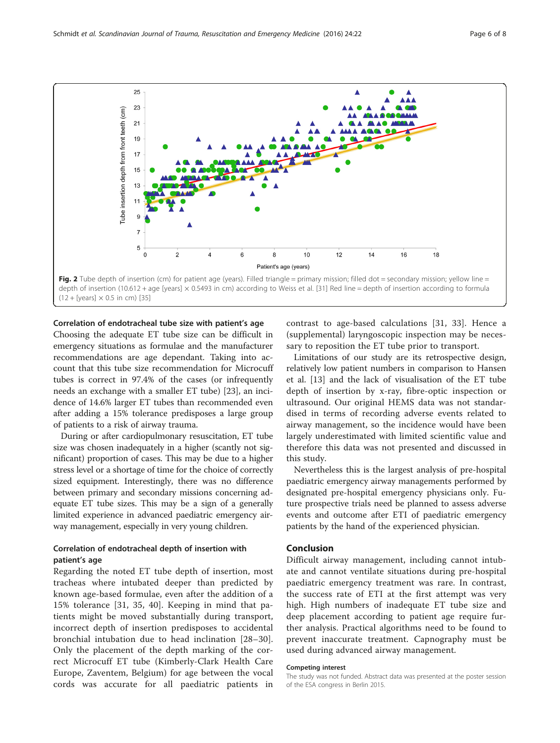<span id="page-5-0"></span>

 $(12 + [years] \times 0.5$  in cm) [\[35](#page--1-0)]

Correlation of endotracheal tube size with patient's age

Choosing the adequate ET tube size can be difficult in emergency situations as formulae and the manufacturer recommendations are age dependant. Taking into account that this tube size recommendation for Microcuff tubes is correct in 97.4% of the cases (or infrequently needs an exchange with a smaller ET tube) [[23\]](#page-6-0), an incidence of 14.6% larger ET tubes than recommended even after adding a 15% tolerance predisposes a large group of patients to a risk of airway trauma.

During or after cardiopulmonary resuscitation, ET tube size was chosen inadequately in a higher (scantly not significant) proportion of cases. This may be due to a higher stress level or a shortage of time for the choice of correctly sized equipment. Interestingly, there was no difference between primary and secondary missions concerning adequate ET tube sizes. This may be a sign of a generally limited experience in advanced paediatric emergency airway management, especially in very young children.

## Correlation of endotracheal depth of insertion with patient's age

Regarding the noted ET tube depth of insertion, most tracheas where intubated deeper than predicted by known age-based formulae, even after the addition of a 15% tolerance [[31, 35, 40](#page--1-0)]. Keeping in mind that patients might be moved substantially during transport, incorrect depth of insertion predisposes to accidental bronchial intubation due to head inclination [[28](#page--1-0)–[30](#page--1-0)]. Only the placement of the depth marking of the correct Microcuff ET tube (Kimberly-Clark Health Care Europe, Zaventem, Belgium) for age between the vocal cords was accurate for all paediatric patients in

contrast to age-based calculations [\[31](#page--1-0), [33\]](#page--1-0). Hence a (supplemental) laryngoscopic inspection may be necessary to reposition the ET tube prior to transport.

Limitations of our study are its retrospective design, relatively low patient numbers in comparison to Hansen et al. [\[13](#page-6-0)] and the lack of visualisation of the ET tube depth of insertion by x-ray, fibre-optic inspection or ultrasound. Our original HEMS data was not standardised in terms of recording adverse events related to airway management, so the incidence would have been largely underestimated with limited scientific value and therefore this data was not presented and discussed in this study.

Nevertheless this is the largest analysis of pre-hospital paediatric emergency airway managements performed by designated pre-hospital emergency physicians only. Future prospective trials need be planned to assess adverse events and outcome after ETI of paediatric emergency patients by the hand of the experienced physician.

## Conclusion

Difficult airway management, including cannot intubate and cannot ventilate situations during pre-hospital paediatric emergency treatment was rare. In contrast, the success rate of ETI at the first attempt was very high. High numbers of inadequate ET tube size and deep placement according to patient age require further analysis. Practical algorithms need to be found to prevent inaccurate treatment. Capnography must be used during advanced airway management.

#### Competing interest

The study was not funded. Abstract data was presented at the poster session of the ESA congress in Berlin 2015.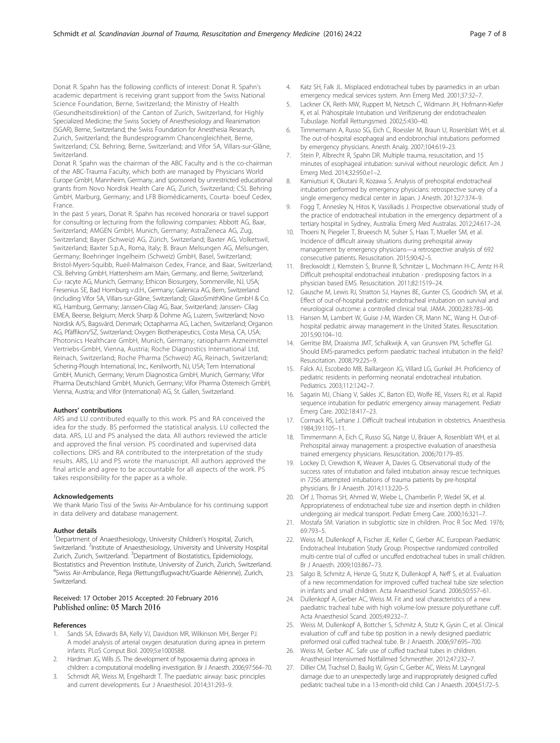<span id="page-6-0"></span>Donat R. Spahn has the following conflicts of interest: Donat R. Spahn's academic department is receiving grant support from the Swiss National Science Foundation, Berne, Switzerland; the Ministry of Health (Gesundheitsdirektion) of the Canton of Zurich, Switzerland, for Highly Specialized Medicine; the Swiss Society of Anesthesiology and Reanimation (SGAR), Berne, Switzerland; the Swiss Foundation for Anesthesia Research, Zurich, Switzerland; the Bundesprogramm Chancengleichheit, Berne, Switzerland; CSL Behring, Berne, Switzerland; and Vifor SA, Villars-sur-Glâne, Switzerland.

Donat R. Spahn was the chairman of the ABC Faculty and is the co-chairman of the ABC-Trauma Faculty, which both are managed by Physicians World Europe GmbH, Mannheim, Germany, and sponsored by unrestricted educational grants from Novo Nordisk Health Care AG, Zurich, Switzerland; CSL Behring GmbH, Marburg, Germany; and LFB Biomédicaments, Courta- boeuf Cedex, France.

In the past 5 years, Donat R. Spahn has received honoraria or travel support for consulting or lecturing from the following companies: Abbott AG, Baar, Switzerland; AMGEN GmbH, Munich, Germany; AstraZeneca AG, Zug, Switzerland; Bayer (Schweiz) AG, Zürich, Switzerland; Baxter AG, Volketswil, Switzerland; Baxter S.p.A., Roma, Italy; B. Braun Melsungen AG, Melsungen, Germany; Boehringer Ingelheim (Schweiz) GmbH, Basel, Switzerland; Bristol-Myers-Squibb, Rueil-Malmaison Cedex, France, and Baar, Switzerland; CSL Behring GmbH, Hattersheim am Main, Germany, and Berne, Switzerland; Cu- racyte AG, Munich, Germany; Ethicon Biosurgery, Sommerville, NJ, USA; Fresenius SE, Bad Homburg v.d.H., Germany; Galenica AG, Bern, Switzerland (including Vifor SA, Villars-sur-Glâne, Switzerland); GlaxoSmithKline GmbH & Co. KG, Hamburg, Germany; Janssen-Cilag AG, Baar, Switzerland; Janssen- Cilag EMEA, Beerse, Belgium; Merck Sharp & Dohme AG, Luzern, Switzerland; Novo Nordisk A/S, Bagsvärd, Denmark; Octapharma AG, Lachen, Switzerland; Organon AG, Pfäffikon/SZ, Switzerland; Oxygen Biotherapeutics, Costa Mesa, CA, USA; Photonics Healthcare GmbH, Munich, Germany; ratiopharm Arzneimittel Vertriebs-GmbH, Vienna, Austria; Roche Diagnostics International Ltd, Reinach, Switzerland; Roche Pharma (Schweiz) AG, Reinach, Switzerland; Schering-Plough International, Inc., Kenilworth, NJ, USA; Tem International GmbH, Munich, Germany; Verum Diagnostica GmbH, Munich, Germany; Vifor Pharma Deutschland GmbH, Munich, Germany; Vifor Pharma Österreich GmbH, Vienna, Austria; and Vifor (International) AG, St. Gallen, Switzerland.

#### Authors' contributions

ARS and LU contributed equally to this work. PS and RA conceived the idea for the study. BS performed the statistical analysis. LU collected the data. ARS, LU and PS analysed the data. All authors reviewed the article and approved the final version. PS coordinated and supervised data collections. DRS and RA contributed to the interpretation of the study results. ARS, LU and PS wrote the manuscript. All authors approved the final article and agree to be accountable for all aspects of the work. PS takes responsibility for the paper as a whole.

#### Acknowledgements

We thank Mario Tissi of the Swiss Air-Ambulance for his continuing support in data delivery and database management.

#### Author details

<sup>1</sup>Department of Anaesthesiology, University Children's Hospital, Zurich, Switzerland. <sup>2</sup>Institute of Anaesthesiology, University and University Hospital Zurich, Zurich, Switzerland. <sup>3</sup>Department of Biostatistics, Epidemiology, Biostatistics and Prevention Institute, University of Zurich, Zurich, Switzerland. 4 Swiss Air-Ambulance, Rega (Rettungsflugwacht/Guarde Aérienne), Zurich, Switzerland.

#### Received: 17 October 2015 Accepted: 20 February 2016 Published online: 05 March 2016

#### References

- 1. Sands SA, Edwards BA, Kelly VJ, Davidson MR, Wilkinson MH, Berger PJ. A model analysis of arterial oxygen desaturation during apnea in preterm infants. PLoS Comput Biol. 2009;5:e1000588.
- Hardman JG, Wills JS. The development of hypoxaemia during apnoea in children: a computational modelling investigation. Br J Anaesth. 2006;97:564–70.
- Schmidt AR, Weiss M, Engelhardt T. The paediatric airway: basic principles and current developments. Eur J Anaesthesiol. 2014;31:293–9.
- 4. Katz SH, Falk JL. Misplaced endotracheal tubes by paramedics in an urban emergency medical services system. Ann Emerg Med. 2001;37:32–7.
- 5. Lackner CK, Reith MW, Ruppert M, Netzsch C, Widmann JH, Hofmann-Kiefer K, et al. Prähospitale Intubation und Verifizierung der endotrachealen Tubuslage. Notfall Rettungsmed. 2002;5:430–40.
- 6. Timmermann A, Russo SG, Eich C, Roessler M, Braun U, Rosenblatt WH, et al. The out-of-hospital esophageal and endobronchial intubations performed by emergency physicians. Anesth Analg. 2007;104:619–23.
- 7. Stein P, Albrecht R, Spahn DR. Multiple trauma, resuscitation, and 15 minutes of esophageal intubation: survival without neurologic deficit. Am J Emerg Med. 2014;32:950.e1–2.
- 8. Kamiutsuri K, Okutani R, Kozawa S. Analysis of prehospital endotracheal intubation performed by emergency physicians: retrospective survey of a single emergency medical center in Japan. J Anesth. 2013;27:374–9.
- 9. Fogg T, Annesley N, Hitos K, Vassiliadis J. Prospective observational study of the practice of endotracheal intubation in the emergency department of a tertiary hospital in Sydney, Australia. Emerg Med Australas. 2012;24:617–24.
- 10. Thoeni N, Piegeler T, Brueesch M, Sulser S, Haas T, Mueller SM, et al. Incidence of difficult airway situations during prehospital airway management by emergency physicians—a retrospective analysis of 692 consecutive patients. Resuscitation. 2015;90:42–5.
- 11. Breckwoldt J, Klemstein S, Brunne B, Schnitzer L, Mochmann H-C, Arntz H-R. Difficult prehospital endotracheal intubation - predisposing factors in a physician based EMS. Resuscitation. 2011;82:1519–24.
- 12. Gausche M, Lewis RJ, Stratton SJ, Haynes BE, Gunter CS, Goodrich SM, et al. Effect of out-of-hospital pediatric endotracheal intubation on survival and neurological outcome: a controlled clinical trial. JAMA. 2000;283:783–90.
- 13. Hansen M, Lambert W, Guise J-M, Warden CR, Mann NC, Wang H. Out-ofhospital pediatric airway management in the United States. Resuscitation. 2015;90:104–10.
- 14. Gerritse BM, Draaisma JMT, Schalkwijk A, van Grunsven PM, Scheffer GJ. Should EMS-paramedics perform paediatric tracheal intubation in the field? Resuscitation. 2008;79:225–9.
- 15. Falck AJ, Escobedo MB, Baillargeon JG, Villard LG, Gunkel JH. Proficiency of pediatric residents in performing neonatal endotracheal intubation. Pediatrics. 2003;112:1242–7.
- 16. Sagarin MJ, Chiang V, Sakles JC, Barton ED, Wolfe RE, Vissers RJ, et al. Rapid sequence intubation for pediatric emergency airway management. Pediatr Emerg Care. 2002;18:417–23.
- 17. Cormack RS, Lehane J. Difficult tracheal intubation in obstetrics. Anaesthesia. 1984;39:1105–11.
- 18. Timmermann A, Eich C, Russo SG, Natge U, Bräuer A, Rosenblatt WH, et al. Prehospital airway management: a prospective evaluation of anaesthesia trained emergency physicians. Resuscitation. 2006;70:179–85.
- 19. Lockey D, Crewdson K, Weaver A, Davies G. Observational study of the success rates of intubation and failed intubation airway rescue techniques in 7256 attempted intubations of trauma patients by pre-hospital physicians. Br J Anaesth. 2014;113:220–5.
- 20. Orf J, Thomas SH, Ahmed W, Wiebe L, Chamberlin P, Wedel SK, et al. Appropriateness of endotracheal tube size and insertion depth in children undergoing air medical transport. Pediatr Emerg Care. 2000;16:321–7.
- 21. Mostafa SM. Variation in subglottic size in children. Proc R Soc Med. 1976; 69:793–5.
- 22. Weiss M, Dullenkopf A, Fischer JE, Keller C, Gerber AC. European Paediatric Endotracheal Intubation Study Group. Prospective randomized controlled multi-centre trial of cuffed or uncuffed endotracheal tubes in small children. Br J Anaesth. 2009;103:867–73.
- 23. Salgo B, Schmitz A, Henze G, Stutz K, Dullenkopf A, Neff S, et al. Evaluation of a new recommendation for improved cuffed tracheal tube size selection in infants and small children. Acta Anaesthesiol Scand. 2006;50:557–61.
- 24. Dullenkopf A, Gerber AC, Weiss M. Fit and seal characteristics of a new paediatric tracheal tube with high volume-low pressure polyurethane cuff. Acta Anaesthesiol Scand. 2005;49:232–7.
- 25. Weiss M, Dullenkopf A, Bottcher S, Schmitz A, Stutz K, Gysin C, et al. Clinical evaluation of cuff and tube tip position in a newly designed paediatric preformed oral cuffed tracheal tube. Br J Anaesth. 2006;97:695–700.
- 26. Weiss M, Gerber AC. Safe use of cuffed tracheal tubes in children. Anasthesiol Intensivmed Notfallmed Schmerzther. 2012;47:232–7.
- 27. Dillier CM, Trachsel D, Baulig W, Gysin C, Gerber AC, Weiss M. Laryngeal damage due to an unexpectedly large and inappropriately designed cuffed pediatric tracheal tube in a 13-month-old child. Can J Anaesth. 2004;51:72–5.